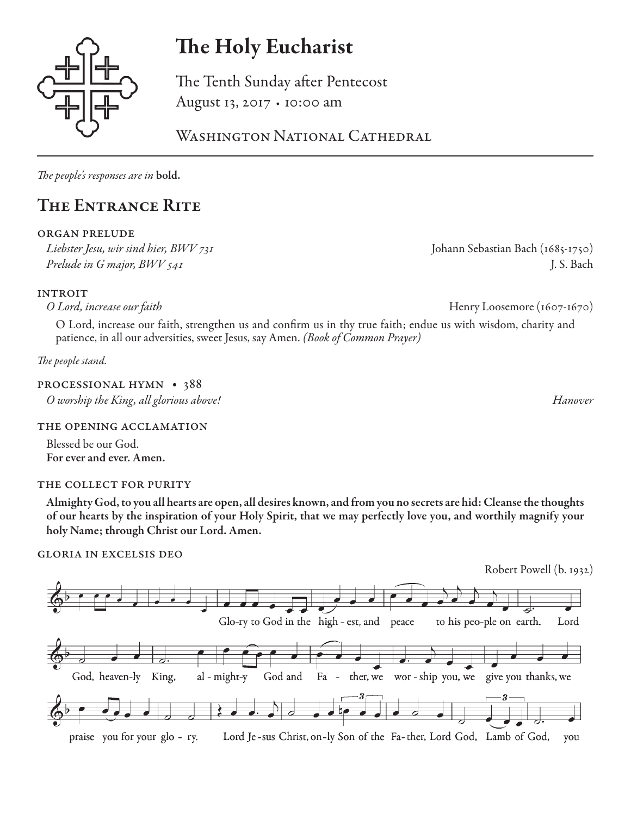# The Holy Eucharist

The Tenth Sunday after Pentecost August 13, 2017 • 10:00 am

Washington National Cathedral

*The people's responses are in* bold.

## THE ENTRANCE RITE

### organ prelude

*Liebster Jesu, wir sind hier, BWV 731* Johann Sebastian Bach (1685-1750) *Prelude in G major, BWV 541*  $\blacksquare$  J. S. Bach

#### **INTROIT**

O Lord, increase our faith, strengthen us and confirm us in thy true faith; endue us with wisdom, charity and patience, in all our adversities, sweet Jesus, say Amen. *(Book of Common Prayer)*

*The people stand.* 

#### processional hymn • 388

*O worship the King, all glorious above! Hanover*

#### the opening acclamation

Blessed be our God. For ever and ever. Amen.

#### the collect for purity

Almighty God, to you all hearts are open, all desires known, and from you no secrets are hid: Cleanse the thoughts of our hearts by the inspiration of your Holy Spirit, that we may perfectly love you, and worthily magnify your holy Name; through Christ our Lord. Amen.

#### gloria in excelsis deo



*O Lord, increase our faith*  $H$ enry Loosemore (1607-1670)

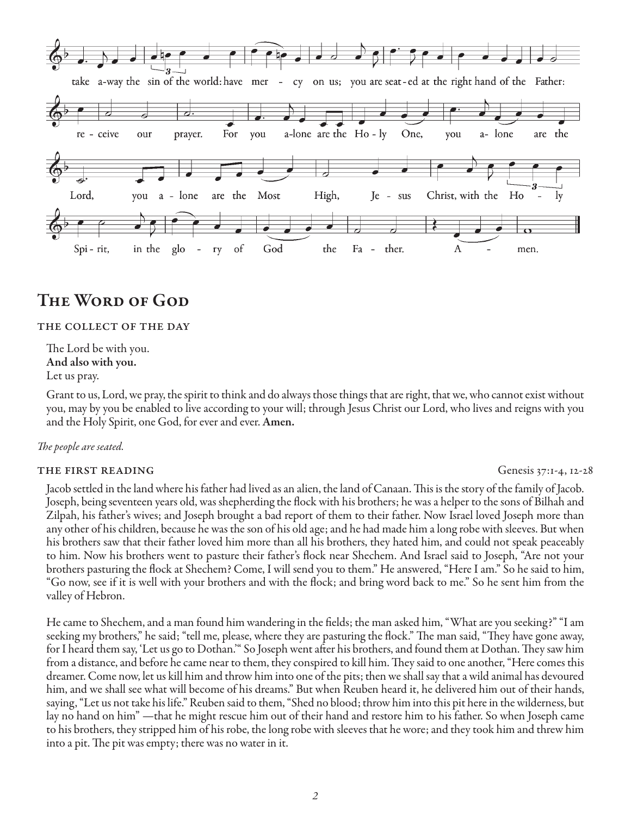

## The Word of God

#### THE COLLECT OF THE DAY

The Lord be with you. And also with you. Let us pray.

Grant to us, Lord, we pray, the spirit to think and do always those things that are right, that we, who cannot exist without you, may by you be enabled to live according to your will; through Jesus Christ our Lord, who lives and reigns with you and the Holy Spirit, one God, for ever and ever. Amen.

#### *The people are seated.*

#### THE FIRST READING Genesis 37:1-4, 12-28

Jacob settled in the land where his father had lived as an alien, the land of Canaan. This is the story of the family of Jacob. Joseph, being seventeen years old, was shepherding the flock with his brothers; he was a helper to the sons of Bilhah and Zilpah, his father's wives; and Joseph brought a bad report of them to their father. Now Israel loved Joseph more than any other of his children, because he was the son of his old age; and he had made him a long robe with sleeves. But when his brothers saw that their father loved him more than all his brothers, they hated him, and could not speak peaceably to him. Now his brothers went to pasture their father's flock near Shechem. And Israel said to Joseph, "Are not your brothers pasturing the flock at Shechem? Come, I will send you to them." He answered, "Here I am." So he said to him, "Go now, see if it is well with your brothers and with the flock; and bring word back to me." So he sent him from the valley of Hebron.

He came to Shechem, and a man found him wandering in the fields; the man asked him, "What are you seeking?" "I am seeking my brothers," he said; "tell me, please, where they are pasturing the flock." The man said, "They have gone away, for I heard them say, 'Let us go to Dothan.'" So Joseph went after his brothers, and found them at Dothan. They saw him from a distance, and before he came near to them, they conspired to kill him. They said to one another, "Here comes this dreamer. Come now, let us kill him and throw him into one of the pits; then we shall say that a wild animal has devoured him, and we shall see what will become of his dreams." But when Reuben heard it, he delivered him out of their hands, saying, "Let us not take his life." Reuben said to them, "Shed no blood; throw him into this pit here in the wilderness, but lay no hand on him" —that he might rescue him out of their hand and restore him to his father. So when Joseph came to his brothers, they stripped him of his robe, the long robe with sleeves that he wore; and they took him and threw him into a pit. The pit was empty; there was no water in it.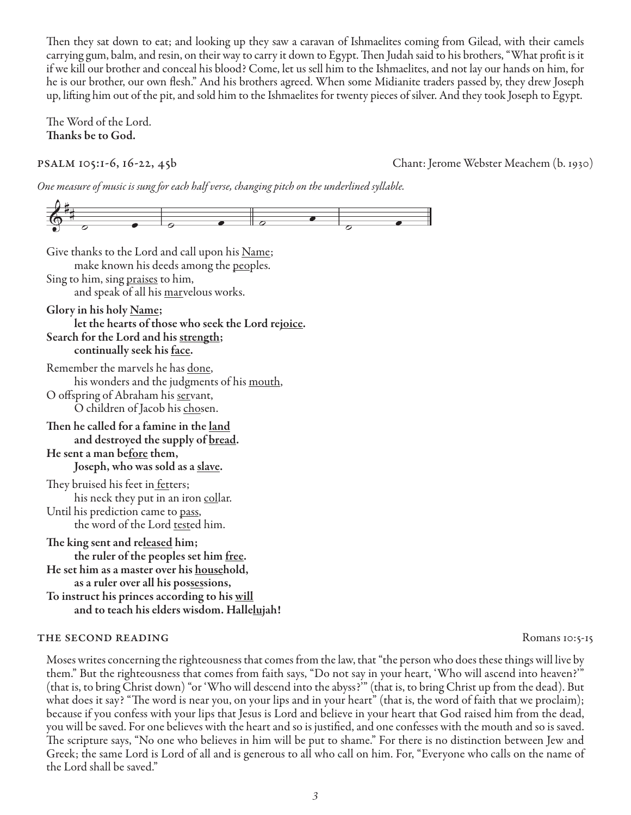Then they sat down to eat; and looking up they saw a caravan of Ishmaelites coming from Gilead, with their camels carrying gum, balm, and resin, on their way to carry it down to Egypt. Then Judah said to his brothers, "What profit is it if we kill our brother and conceal his blood? Come, let us sell him to the Ishmaelites, and not lay our hands on him, for he is our brother, our own flesh." And his brothers agreed. When some Midianite traders passed by, they drew Joseph up, lifting him out of the pit, and sold him to the Ishmaelites for twenty pieces of silver. And they took Joseph to Egypt.

The Word of the Lord. Thanks be to God.

psalm 105:1-6, 16-22, 45b Chant: Jerome Webster Meachem (b. 1930)

*One measure of music is sung for each half verse, changing pitch on the underlined syllable.*



#### THE SECOND READING ROMAN ROMAN ROMAN ROMAN ROMAN SIGNER CONSTRUCTED AND ROMAN SIGNER CONSTRUCTED ASSESSMENT ROMAN ROMAN SIGNER CONSTRUCTED AND ROMAN SIGNER CONSTRUCTED ASSESSMENT OF A SECOND ROMAN SIGNER CONSTRUCTED AND RO

Moses writes concerning the righteousness that comes from the law, that "the person who does these things will live by them." But the righteousness that comes from faith says, "Do not say in your heart, 'Who will ascend into heaven?'" (that is, to bring Christ down) "or 'Who will descend into the abyss?'" (that is, to bring Christ up from the dead). But what does it say? "The word is near you, on your lips and in your heart" (that is, the word of faith that we proclaim); because if you confess with your lips that Jesus is Lord and believe in your heart that God raised him from the dead, you will be saved. For one believes with the heart and so is justified, and one confesses with the mouth and so is saved. The scripture says, "No one who believes in him will be put to shame." For there is no distinction between Jew and Greek; the same Lord is Lord of all and is generous to all who call on him. For, "Everyone who calls on the name of the Lord shall be saved."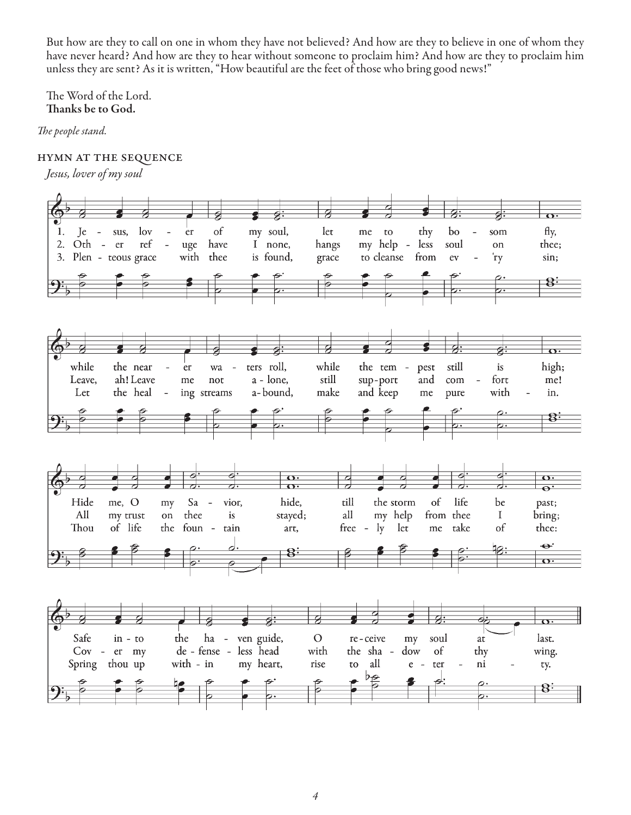But how are they to call on one in whom they have not believed? And how are they to believe in one of whom they have never heard? And how are they to hear without someone to proclaim him? And how are they to proclaim him unless they are sent? As it is written, "How beautiful are the feet of those who bring good news!"

The Word of the Lord. Thanks be to God.

*The people stand.*

#### hymn at the sequence

*Jesus, lover of my soul* 

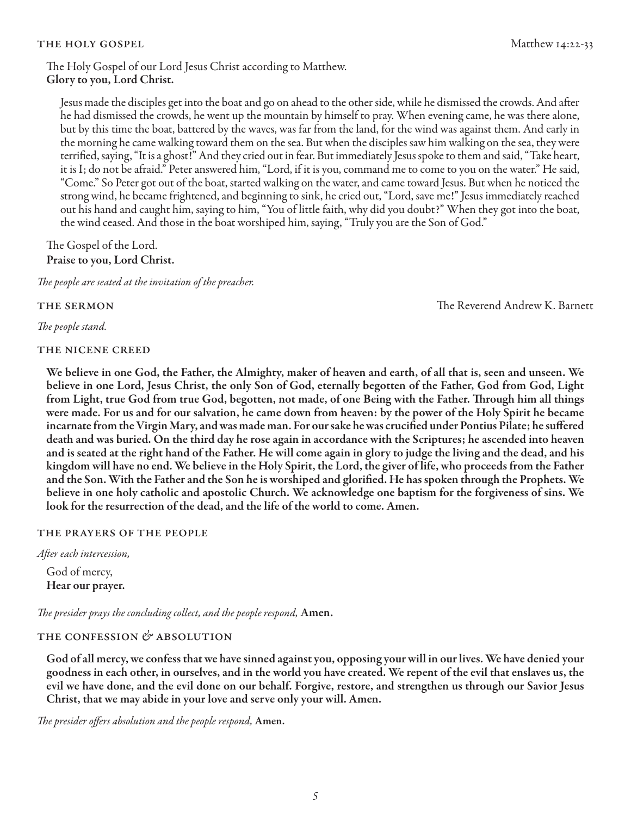#### THE HOLY GOSPEL Natural Matthew 14:22-33

Jesus made the disciples get into the boat and go on ahead to the other side, while he dismissed the crowds. And after he had dismissed the crowds, he went up the mountain by himself to pray. When evening came, he was there alone, but by this time the boat, battered by the waves, was far from the land, for the wind was against them. And early in the morning he came walking toward them on the sea. But when the disciples saw him walking on the sea, they were terrified, saying, "It is a ghost!" And they cried out in fear. But immediately Jesus spoke to them and said, "Take heart, it is I; do not be afraid." Peter answered him, "Lord, if it is you, command me to come to you on the water." He said, "Come." So Peter got out of the boat, started walking on the water, and came toward Jesus. But when he noticed the strong wind, he became frightened, and beginning to sink, he cried out, "Lord, save me!" Jesus immediately reached out his hand and caught him, saying to him, "You of little faith, why did you doubt?" When they got into the boat, the wind ceased. And those in the boat worshiped him, saying, "Truly you are the Son of God."

The Gospel of the Lord. Praise to you, Lord Christ.

*The people are seated at the invitation of the preacher.*

the sermon The Reverend Andrew K. Barnett

*The people stand.*

#### the nicene creed

We believe in one God, the Father, the Almighty, maker of heaven and earth, of all that is, seen and unseen. We believe in one Lord, Jesus Christ, the only Son of God, eternally begotten of the Father, God from God, Light from Light, true God from true God, begotten, not made, of one Being with the Father. Through him all things were made. For us and for our salvation, he came down from heaven: by the power of the Holy Spirit he became incarnate from the Virgin Mary, and was made man. For our sake he was crucified under Pontius Pilate; he suffered death and was buried. On the third day he rose again in accordance with the Scriptures; he ascended into heaven and is seated at the right hand of the Father. He will come again in glory to judge the living and the dead, and his kingdom will have no end. We believe in the Holy Spirit, the Lord, the giver of life, who proceeds from the Father and the Son. With the Father and the Son he is worshiped and glorified. He has spoken through the Prophets. We believe in one holy catholic and apostolic Church. We acknowledge one baptism for the forgiveness of sins. We look for the resurrection of the dead, and the life of the world to come. Amen.

#### the prayers of the people

*After each intercession,*

God of mercy, Hear our prayer.

*The presider prays the concluding collect, and the people respond,* Amen.

#### the confession *&* absolution

God of all mercy, we confess that we have sinned against you, opposing your will in our lives. We have denied your goodness in each other, in ourselves, and in the world you have created. We repent of the evil that enslaves us, the evil we have done, and the evil done on our behalf. Forgive, restore, and strengthen us through our Savior Jesus Christ, that we may abide in your love and serve only your will. Amen.

*The presider offers absolution and the people respond,* Amen.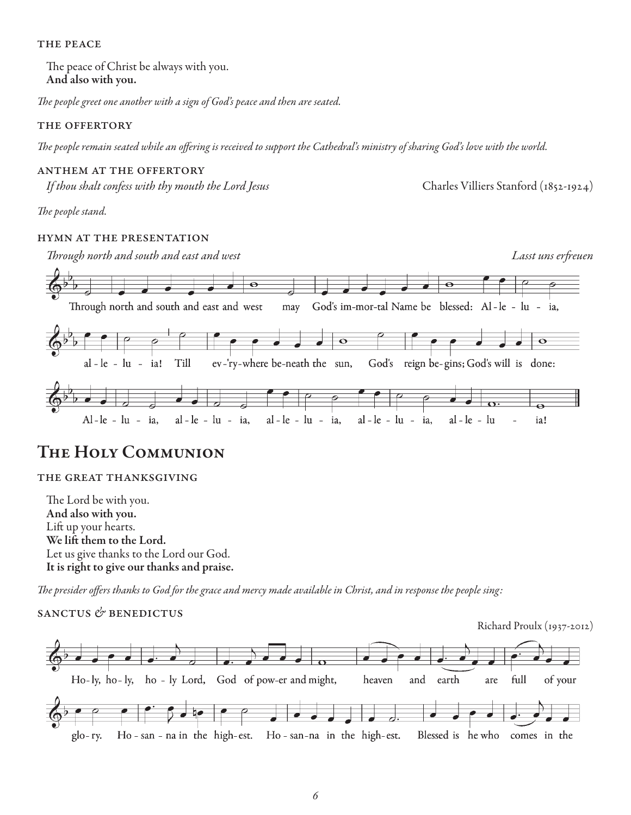#### THE PEACE

The peace of Christ be always with you. And also with you.

*The people greet one another with a sign of God's peace and then are seated.*

#### the offertory

*The people remain seated while an offering is received to support the Cathedral's ministry of sharing God's love with the world.*

#### anthem at the offertory

*If thou shalt confess with thy mouth the Lord Jesus* Charles Villiers Stanford (1852-1924)

*The people stand.*

#### hymn at the presentation



## The Holy Communion

#### the great thanksgiving

The Lord be with you. And also with you. Lift up your hearts. We lift them to the Lord. Let us give thanks to the Lord our God. It is right to give our thanks and praise.

*The presider offers thanks to God for the grace and mercy made available in Christ, and in response the people sing:*

#### sanctus *&* benedictus

Richard Proulx (1937-2012)

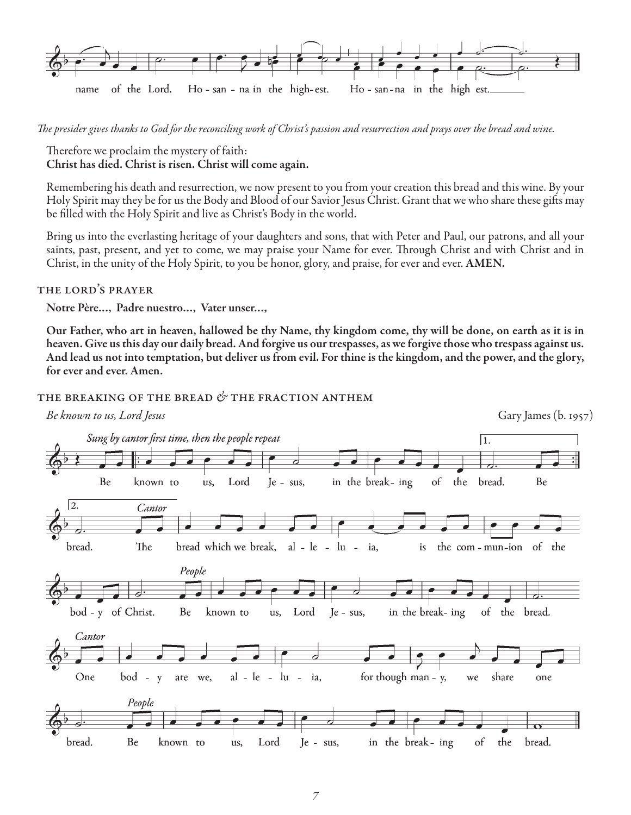

*The presider gives thanks to God for the reconciling work of Christ's passion and resurrection and prays over the bread and wine.*

Therefore we proclaim the mystery of faith: Christ has died. Christ is risen. Christ will come again.

Remembering his death and resurrection, we now present to you from your creation this bread and this wine. By your Holy Spirit may they be for us the Body and Blood of our Savior Jesus Christ. Grant that we who share these gifts may be filled with the Holy Spirit and live as Christ's Body in the world.

Bring us into the everlasting heritage of your daughters and sons, that with Peter and Paul, our patrons, and all your saints, past, present, and yet to come, we may praise your Name for ever. Through Christ and with Christ and in Christ, in the unity of the Holy Spirit, to you be honor, glory, and praise, for ever and ever. AMEN.

#### the lord's prayer

Notre Père…, Padre nuestro…, Vater unser…,

Our Father, who art in heaven, hallowed be thy Name, thy kingdom come, thy will be done, on earth as it is in heaven. Give us this day our daily bread. And forgive us our trespasses, as we forgive those who trespass against us. And lead us not into temptation, but deliver us from evil. For thine is the kingdom, and the power, and the glory, for ever and ever. Amen.

#### the breaking of the bread *&* the fraction anthem